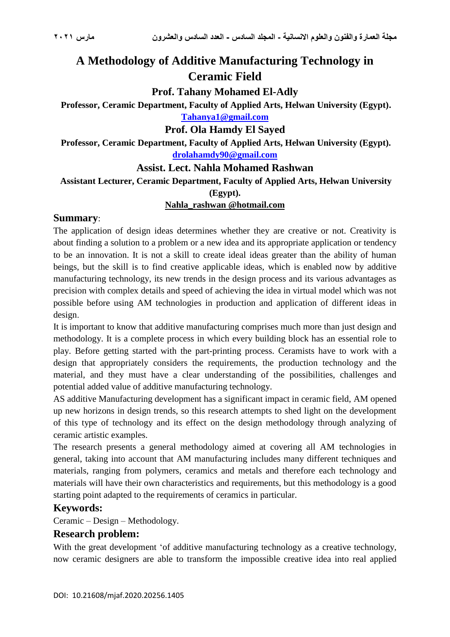# **A Methodology of Additive Manufacturing Technology in Ceramic Field**

**Prof. Tahany Mohamed El-Adly**

**Professor, Ceramic Department, Faculty of Applied Arts, Helwan University (Egypt).**

**[Tahanya1@gmail.com](mailto:Tahanya1@gmail.com)**

**Prof. Ola Hamdy El Sayed**

**Professor, Ceramic Department, Faculty of Applied Arts, Helwan University (Egypt). [drolahamdy90@gmail.com](mailto:drolahamdy90@gmail.com)**

### **Assist. Lect. Nahla Mohamed Rashwan**

**Assistant Lecturer, Ceramic Department, Faculty of Applied Arts, Helwan University** 

**(Egypt).**

#### **Nahla\_rashwan @hotmail.com**

### **Summary**:

The application of design ideas determines whether they are creative or not. Creativity is about finding a solution to a problem or a new idea and its appropriate application or tendency to be an innovation. It is not a skill to create ideal ideas greater than the ability of human beings, but the skill is to find creative applicable ideas, which is enabled now by additive manufacturing technology, its new trends in the design process and its various advantages as precision with complex details and speed of achieving the idea in virtual model which was not possible before using AM technologies in production and application of different ideas in design.

It is important to know that additive manufacturing comprises much more than just design and methodology. It is a complete process in which every building block has an essential role to play. Before getting started with the part-printing process. Ceramists have to work with a design that appropriately considers the requirements, the production technology and the material, and they must have a clear understanding of the possibilities, challenges and potential added value of additive manufacturing technology.

AS additive Manufacturing development has a significant impact in ceramic field, AM opened up new horizons in design trends, so this research attempts to shed light on the development of this type of technology and its effect on the design methodology through analyzing of ceramic artistic examples.

The research presents a general methodology aimed at covering all AM technologies in general, taking into account that AM manufacturing includes many different techniques and materials, ranging from polymers, ceramics and metals and therefore each technology and materials will have their own characteristics and requirements, but this methodology is a good starting point adapted to the requirements of ceramics in particular.

### **Keywords:**

Ceramic – Design – Methodology.

### **Research problem:**

With the great development 'of additive manufacturing technology as a creative technology, now ceramic designers are able to transform the impossible creative idea into real applied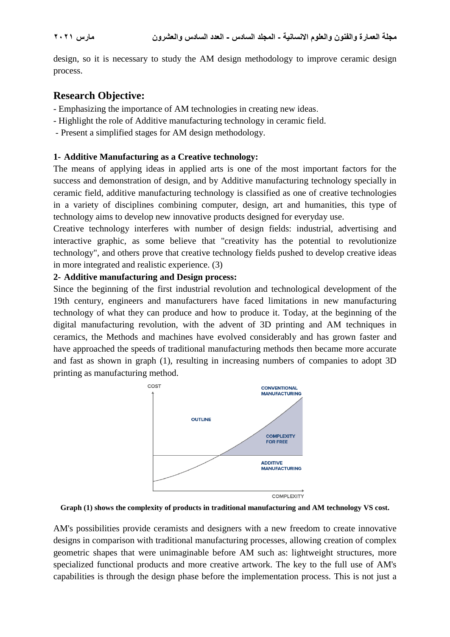design, so it is necessary to study the AM design methodology to improve ceramic design process.

### **Research Objective:**

- Emphasizing the importance of AM technologies in creating new ideas.
- Highlight the role of Additive manufacturing technology in ceramic field.
- Present a simplified stages for AM design methodology.

#### **1- Additive Manufacturing as a Creative technology:**

The means of applying ideas in applied arts is one of the most important factors for the success and demonstration of design, and by Additive manufacturing technology specially in ceramic field, additive manufacturing technology is classified as one of creative technologies in a variety of disciplines combining computer, design, art and humanities, this type of technology aims to develop new innovative products designed for everyday use.

Creative technology interferes with number of design fields: industrial, advertising and interactive graphic, as some believe that "creativity has the potential to revolutionize technology", and others prove that creative technology fields pushed to develop creative ideas in more integrated and realistic experience. (3)

#### **2- Additive manufacturing and Design process:**

Since the beginning of the first industrial revolution and technological development of the 19th century, engineers and manufacturers have faced limitations in new manufacturing technology of what they can produce and how to produce it. Today, at the beginning of the digital manufacturing revolution, with the advent of 3D printing and AM techniques in ceramics, the Methods and machines have evolved considerably and has grown faster and have approached the speeds of traditional manufacturing methods then became more accurate and fast as shown in graph (1), resulting in increasing numbers of companies to adopt 3D printing as manufacturing method.



**Graph (1) shows the complexity of products in traditional manufacturing and AM technology VS cost.**

AM's possibilities provide ceramists and designers with a new freedom to create innovative designs in comparison with traditional manufacturing processes, allowing creation of complex geometric shapes that were unimaginable before AM such as: lightweight structures, more specialized functional products and more creative artwork. The key to the full use of AM's capabilities is through the design phase before the implementation process. This is not just a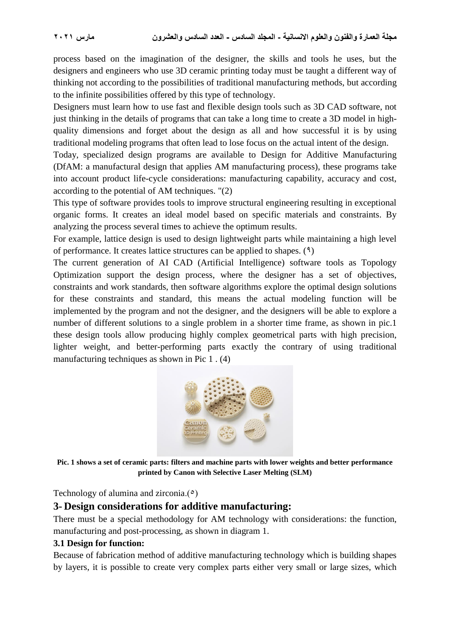process based on the imagination of the designer, the skills and tools he uses, but the designers and engineers who use 3D ceramic printing today must be taught a different way of thinking not according to the possibilities of traditional manufacturing methods, but according to the infinite possibilities offered by this type of technology.

Designers must learn how to use fast and flexible design tools such as 3D CAD software, not just thinking in the details of programs that can take a long time to create a 3D model in highquality dimensions and forget about the design as all and how successful it is by using traditional modeling programs that often lead to lose focus on the actual intent of the design.

Today, specialized design programs are available to Design for Additive Manufacturing (DfAM: a manufactural design that applies AM manufacturing process), these programs take into account product life-cycle considerations: manufacturing capability, accuracy and cost, according to the potential of AM techniques. "(2)

This type of software provides tools to improve structural engineering resulting in exceptional organic forms. It creates an ideal model based on specific materials and constraints. By analyzing the process several times to achieve the optimum results.

For example, lattice design is used to design lightweight parts while maintaining a high level of performance. It creates lattice structures can be applied to shapes.  $(9)$ 

The current generation of AI CAD (Artificial Intelligence) software tools as Topology Optimization support the design process, where the designer has a set of objectives, constraints and work standards, then software algorithms explore the optimal design solutions for these constraints and standard, this means the actual modeling function will be implemented by the program and not the designer, and the designers will be able to explore a number of different solutions to a single problem in a shorter time frame, as shown in pic.1 these design tools allow producing highly complex geometrical parts with high precision, lighter weight, and better-performing parts exactly the contrary of using traditional manufacturing techniques as shown in Pic 1 . (4)



**Pic. 1 shows a set of ceramic parts: filters and machine parts with lower weights and better performance printed by Canon with Selective Laser Melting (SLM)**

Technology of alumina and zirconia. $(°)$ 

#### **3- Design considerations for additive manufacturing:**

There must be a special methodology for AM technology with considerations: the function, manufacturing and post-processing, as shown in diagram 1.

#### **3.1 Design for function:**

Because of fabrication method of additive manufacturing technology which is building shapes by layers, it is possible to create very complex parts either very small or large sizes, which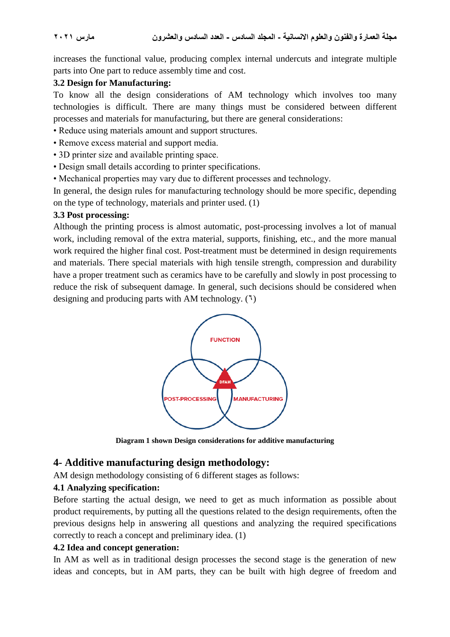increases the functional value, producing complex internal undercuts and integrate multiple parts into One part to reduce assembly time and cost.

#### **3.2 Design for Manufacturing:**

To know all the design considerations of AM technology which involves too many technologies is difficult. There are many things must be considered between different processes and materials for manufacturing, but there are general considerations:

- Reduce using materials amount and support structures.
- Remove excess material and support media.
- 3D printer size and available printing space.
- Design small details according to printer specifications.
- Mechanical properties may vary due to different processes and technology.

In general, the design rules for manufacturing technology should be more specific, depending on the type of technology, materials and printer used. (1)

#### **3.3 Post processing:**

Although the printing process is almost automatic, post-processing involves a lot of manual work, including removal of the extra material, supports, finishing, etc., and the more manual work required the higher final cost. Post-treatment must be determined in design requirements and materials. There special materials with high tensile strength, compression and durability have a proper treatment such as ceramics have to be carefully and slowly in post processing to reduce the risk of subsequent damage. In general, such decisions should be considered when designing and producing parts with AM technology.  $(1)$ 



**Diagram 1 shown Design considerations for additive manufacturing**

### **4- Additive manufacturing design methodology:**

AM design methodology consisting of 6 different stages as follows:

#### **4.1 Analyzing specification:**

Before starting the actual design, we need to get as much information as possible about product requirements, by putting all the questions related to the design requirements, often the previous designs help in answering all questions and analyzing the required specifications correctly to reach a concept and preliminary idea. (1)

#### **4.2 Idea and concept generation:**

In AM as well as in traditional design processes the second stage is the generation of new ideas and concepts, but in AM parts, they can be built with high degree of freedom and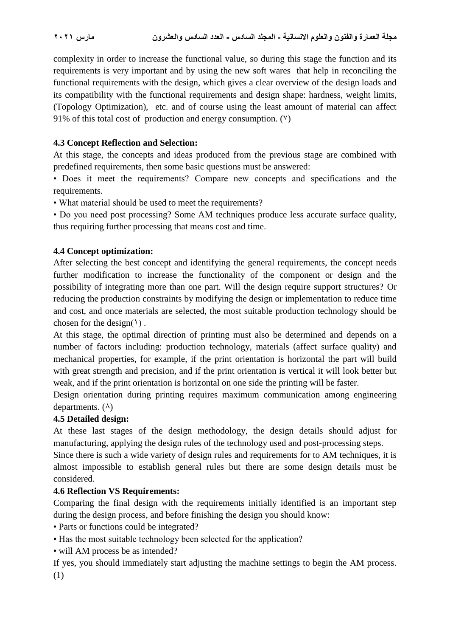complexity in order to increase the functional value, so during this stage the function and its requirements is very important and by using the new soft wares that help in reconciling the functional requirements with the design, which gives a clear overview of the design loads and its compatibility with the functional requirements and design shape: hardness, weight limits, (Topology Optimization), etc. and of course using the least amount of material can affect 91% of this total cost of production and energy consumption.  $(9)$ 

### **4.3 Concept Reflection and Selection:**

At this stage, the concepts and ideas produced from the previous stage are combined with predefined requirements, then some basic questions must be answered:

• Does it meet the requirements? Compare new concepts and specifications and the requirements.

• What material should be used to meet the requirements?

• Do you need post processing? Some AM techniques produce less accurate surface quality, thus requiring further processing that means cost and time.

### **4.4 Concept optimization:**

After selecting the best concept and identifying the general requirements, the concept needs further modification to increase the functionality of the component or design and the possibility of integrating more than one part. Will the design require support structures? Or reducing the production constraints by modifying the design or implementation to reduce time and cost, and once materials are selected, the most suitable production technology should be chosen for the design( $\{ )$ .

At this stage, the optimal direction of printing must also be determined and depends on a number of factors including: production technology, materials (affect surface quality) and mechanical properties, for example, if the print orientation is horizontal the part will build with great strength and precision, and if the print orientation is vertical it will look better but weak, and if the print orientation is horizontal on one side the printing will be faster.

Design orientation during printing requires maximum communication among engineering departments.  $(\lambda)$ 

### **4.5 Detailed design:**

At these last stages of the design methodology, the design details should adjust for manufacturing, applying the design rules of the technology used and post-processing steps.

Since there is such a wide variety of design rules and requirements for to AM techniques, it is almost impossible to establish general rules but there are some design details must be considered.

#### **4.6 Reflection VS Requirements:**

Comparing the final design with the requirements initially identified is an important step during the design process, and before finishing the design you should know:

• Parts or functions could be integrated?

- Has the most suitable technology been selected for the application?
- will AM process be as intended?

If yes, you should immediately start adjusting the machine settings to begin the AM process. (1)